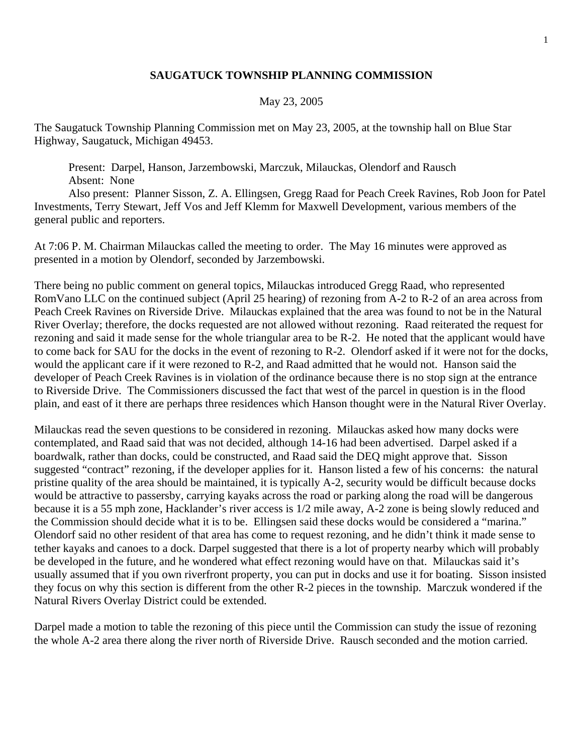## **SAUGATUCK TOWNSHIP PLANNING COMMISSION**

## May 23, 2005

The Saugatuck Township Planning Commission met on May 23, 2005, at the township hall on Blue Star Highway, Saugatuck, Michigan 49453.

 Present: Darpel, Hanson, Jarzembowski, Marczuk, Milauckas, Olendorf and Rausch Absent: None

 Also present: Planner Sisson, Z. A. Ellingsen, Gregg Raad for Peach Creek Ravines, Rob Joon for Patel Investments, Terry Stewart, Jeff Vos and Jeff Klemm for Maxwell Development, various members of the general public and reporters.

At 7:06 P. M. Chairman Milauckas called the meeting to order. The May 16 minutes were approved as presented in a motion by Olendorf, seconded by Jarzembowski.

There being no public comment on general topics, Milauckas introduced Gregg Raad, who represented RomVano LLC on the continued subject (April 25 hearing) of rezoning from A-2 to R-2 of an area across from Peach Creek Ravines on Riverside Drive. Milauckas explained that the area was found to not be in the Natural River Overlay; therefore, the docks requested are not allowed without rezoning. Raad reiterated the request for rezoning and said it made sense for the whole triangular area to be R-2. He noted that the applicant would have to come back for SAU for the docks in the event of rezoning to R-2. Olendorf asked if it were not for the docks, would the applicant care if it were rezoned to R-2, and Raad admitted that he would not. Hanson said the developer of Peach Creek Ravines is in violation of the ordinance because there is no stop sign at the entrance to Riverside Drive. The Commissioners discussed the fact that west of the parcel in question is in the flood plain, and east of it there are perhaps three residences which Hanson thought were in the Natural River Overlay.

Milauckas read the seven questions to be considered in rezoning. Milauckas asked how many docks were contemplated, and Raad said that was not decided, although 14-16 had been advertised. Darpel asked if a boardwalk, rather than docks, could be constructed, and Raad said the DEQ might approve that. Sisson suggested "contract" rezoning, if the developer applies for it. Hanson listed a few of his concerns: the natural pristine quality of the area should be maintained, it is typically A-2, security would be difficult because docks would be attractive to passersby, carrying kayaks across the road or parking along the road will be dangerous because it is a 55 mph zone, Hacklander's river access is 1/2 mile away, A-2 zone is being slowly reduced and the Commission should decide what it is to be. Ellingsen said these docks would be considered a "marina." Olendorf said no other resident of that area has come to request rezoning, and he didn't think it made sense to tether kayaks and canoes to a dock. Darpel suggested that there is a lot of property nearby which will probably be developed in the future, and he wondered what effect rezoning would have on that. Milauckas said it's usually assumed that if you own riverfront property, you can put in docks and use it for boating. Sisson insisted they focus on why this section is different from the other R-2 pieces in the township. Marczuk wondered if the Natural Rivers Overlay District could be extended.

Darpel made a motion to table the rezoning of this piece until the Commission can study the issue of rezoning the whole A-2 area there along the river north of Riverside Drive. Rausch seconded and the motion carried.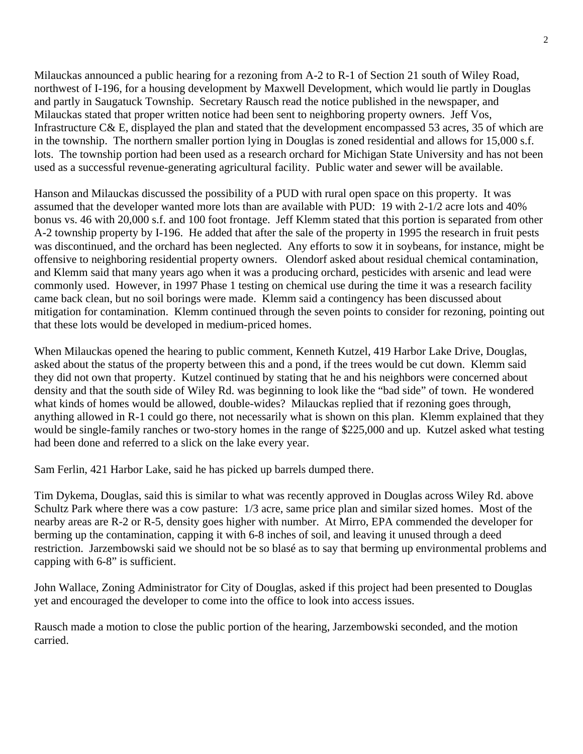Milauckas announced a public hearing for a rezoning from A-2 to R-1 of Section 21 south of Wiley Road, northwest of I-196, for a housing development by Maxwell Development, which would lie partly in Douglas and partly in Saugatuck Township. Secretary Rausch read the notice published in the newspaper, and Milauckas stated that proper written notice had been sent to neighboring property owners. Jeff Vos, Infrastructure C& E, displayed the plan and stated that the development encompassed 53 acres, 35 of which are in the township. The northern smaller portion lying in Douglas is zoned residential and allows for 15,000 s.f. lots. The township portion had been used as a research orchard for Michigan State University and has not been used as a successful revenue-generating agricultural facility. Public water and sewer will be available.

Hanson and Milauckas discussed the possibility of a PUD with rural open space on this property. It was assumed that the developer wanted more lots than are available with PUD: 19 with 2-1/2 acre lots and 40% bonus vs. 46 with 20,000 s.f. and 100 foot frontage. Jeff Klemm stated that this portion is separated from other A-2 township property by I-196. He added that after the sale of the property in 1995 the research in fruit pests was discontinued, and the orchard has been neglected. Any efforts to sow it in soybeans, for instance, might be offensive to neighboring residential property owners. Olendorf asked about residual chemical contamination, and Klemm said that many years ago when it was a producing orchard, pesticides with arsenic and lead were commonly used. However, in 1997 Phase 1 testing on chemical use during the time it was a research facility came back clean, but no soil borings were made. Klemm said a contingency has been discussed about mitigation for contamination. Klemm continued through the seven points to consider for rezoning, pointing out that these lots would be developed in medium-priced homes.

When Milauckas opened the hearing to public comment, Kenneth Kutzel, 419 Harbor Lake Drive, Douglas, asked about the status of the property between this and a pond, if the trees would be cut down. Klemm said they did not own that property. Kutzel continued by stating that he and his neighbors were concerned about density and that the south side of Wiley Rd. was beginning to look like the "bad side" of town. He wondered what kinds of homes would be allowed, double-wides? Milauckas replied that if rezoning goes through, anything allowed in R-1 could go there, not necessarily what is shown on this plan. Klemm explained that they would be single-family ranches or two-story homes in the range of \$225,000 and up. Kutzel asked what testing had been done and referred to a slick on the lake every year.

Sam Ferlin, 421 Harbor Lake, said he has picked up barrels dumped there.

Tim Dykema, Douglas, said this is similar to what was recently approved in Douglas across Wiley Rd. above Schultz Park where there was a cow pasture: 1/3 acre, same price plan and similar sized homes. Most of the nearby areas are R-2 or R-5, density goes higher with number. At Mirro, EPA commended the developer for berming up the contamination, capping it with 6-8 inches of soil, and leaving it unused through a deed restriction. Jarzembowski said we should not be so blasé as to say that berming up environmental problems and capping with 6-8" is sufficient.

John Wallace, Zoning Administrator for City of Douglas, asked if this project had been presented to Douglas yet and encouraged the developer to come into the office to look into access issues.

Rausch made a motion to close the public portion of the hearing, Jarzembowski seconded, and the motion carried.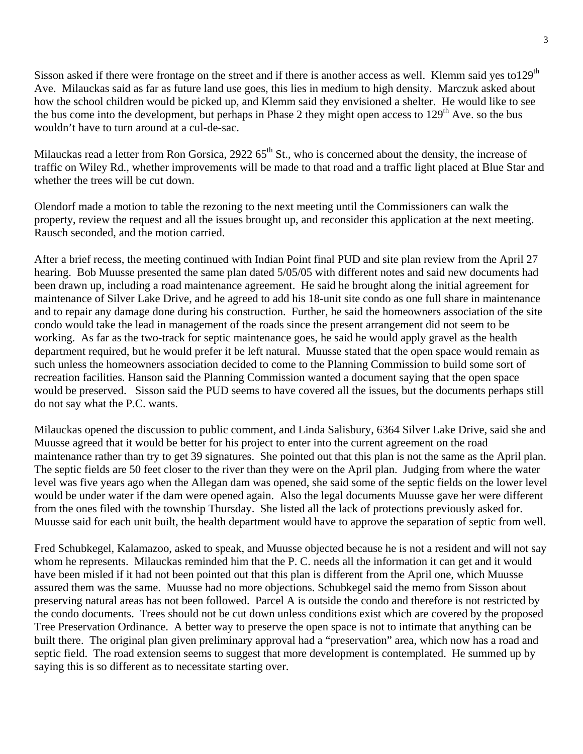Sisson asked if there were frontage on the street and if there is another access as well. Klemm said yes to  $129<sup>th</sup>$ Ave. Milauckas said as far as future land use goes, this lies in medium to high density. Marczuk asked about how the school children would be picked up, and Klemm said they envisioned a shelter. He would like to see the bus come into the development, but perhaps in Phase 2 they might open access to  $129<sup>th</sup>$  Ave. so the bus wouldn't have to turn around at a cul-de-sac.

Milauckas read a letter from Ron Gorsica,  $2922.65^{\text{th}}$  St., who is concerned about the density, the increase of traffic on Wiley Rd., whether improvements will be made to that road and a traffic light placed at Blue Star and whether the trees will be cut down.

Olendorf made a motion to table the rezoning to the next meeting until the Commissioners can walk the property, review the request and all the issues brought up, and reconsider this application at the next meeting. Rausch seconded, and the motion carried.

After a brief recess, the meeting continued with Indian Point final PUD and site plan review from the April 27 hearing. Bob Muusse presented the same plan dated 5/05/05 with different notes and said new documents had been drawn up, including a road maintenance agreement. He said he brought along the initial agreement for maintenance of Silver Lake Drive, and he agreed to add his 18-unit site condo as one full share in maintenance and to repair any damage done during his construction. Further, he said the homeowners association of the site condo would take the lead in management of the roads since the present arrangement did not seem to be working. As far as the two-track for septic maintenance goes, he said he would apply gravel as the health department required, but he would prefer it be left natural. Muusse stated that the open space would remain as such unless the homeowners association decided to come to the Planning Commission to build some sort of recreation facilities. Hanson said the Planning Commission wanted a document saying that the open space would be preserved. Sisson said the PUD seems to have covered all the issues, but the documents perhaps still do not say what the P.C. wants.

Milauckas opened the discussion to public comment, and Linda Salisbury, 6364 Silver Lake Drive, said she and Muusse agreed that it would be better for his project to enter into the current agreement on the road maintenance rather than try to get 39 signatures. She pointed out that this plan is not the same as the April plan. The septic fields are 50 feet closer to the river than they were on the April plan. Judging from where the water level was five years ago when the Allegan dam was opened, she said some of the septic fields on the lower level would be under water if the dam were opened again. Also the legal documents Muusse gave her were different from the ones filed with the township Thursday. She listed all the lack of protections previously asked for. Muusse said for each unit built, the health department would have to approve the separation of septic from well.

Fred Schubkegel, Kalamazoo, asked to speak, and Muusse objected because he is not a resident and will not say whom he represents. Milauckas reminded him that the P. C. needs all the information it can get and it would have been misled if it had not been pointed out that this plan is different from the April one, which Muusse assured them was the same. Muusse had no more objections. Schubkegel said the memo from Sisson about preserving natural areas has not been followed. Parcel A is outside the condo and therefore is not restricted by the condo documents. Trees should not be cut down unless conditions exist which are covered by the proposed Tree Preservation Ordinance. A better way to preserve the open space is not to intimate that anything can be built there. The original plan given preliminary approval had a "preservation" area, which now has a road and septic field. The road extension seems to suggest that more development is contemplated. He summed up by saying this is so different as to necessitate starting over.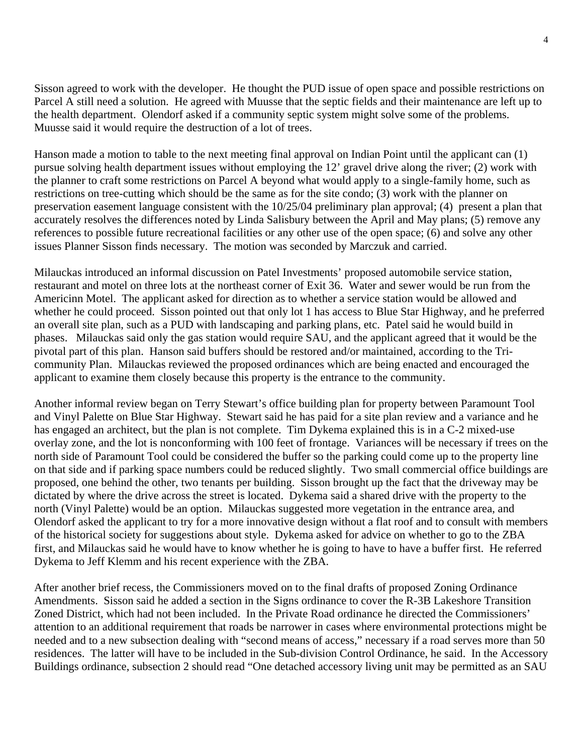Sisson agreed to work with the developer. He thought the PUD issue of open space and possible restrictions on Parcel A still need a solution. He agreed with Muusse that the septic fields and their maintenance are left up to the health department. Olendorf asked if a community septic system might solve some of the problems. Muusse said it would require the destruction of a lot of trees.

Hanson made a motion to table to the next meeting final approval on Indian Point until the applicant can (1) pursue solving health department issues without employing the 12' gravel drive along the river; (2) work with the planner to craft some restrictions on Parcel A beyond what would apply to a single-family home, such as restrictions on tree-cutting which should be the same as for the site condo; (3) work with the planner on preservation easement language consistent with the 10/25/04 preliminary plan approval; (4) present a plan that accurately resolves the differences noted by Linda Salisbury between the April and May plans; (5) remove any references to possible future recreational facilities or any other use of the open space; (6) and solve any other issues Planner Sisson finds necessary. The motion was seconded by Marczuk and carried.

Milauckas introduced an informal discussion on Patel Investments' proposed automobile service station, restaurant and motel on three lots at the northeast corner of Exit 36. Water and sewer would be run from the Americinn Motel. The applicant asked for direction as to whether a service station would be allowed and whether he could proceed. Sisson pointed out that only lot 1 has access to Blue Star Highway, and he preferred an overall site plan, such as a PUD with landscaping and parking plans, etc. Patel said he would build in phases. Milauckas said only the gas station would require SAU, and the applicant agreed that it would be the pivotal part of this plan. Hanson said buffers should be restored and/or maintained, according to the Tricommunity Plan. Milauckas reviewed the proposed ordinances which are being enacted and encouraged the applicant to examine them closely because this property is the entrance to the community.

Another informal review began on Terry Stewart's office building plan for property between Paramount Tool and Vinyl Palette on Blue Star Highway. Stewart said he has paid for a site plan review and a variance and he has engaged an architect, but the plan is not complete. Tim Dykema explained this is in a C-2 mixed-use overlay zone, and the lot is nonconforming with 100 feet of frontage. Variances will be necessary if trees on the north side of Paramount Tool could be considered the buffer so the parking could come up to the property line on that side and if parking space numbers could be reduced slightly. Two small commercial office buildings are proposed, one behind the other, two tenants per building. Sisson brought up the fact that the driveway may be dictated by where the drive across the street is located. Dykema said a shared drive with the property to the north (Vinyl Palette) would be an option. Milauckas suggested more vegetation in the entrance area, and Olendorf asked the applicant to try for a more innovative design without a flat roof and to consult with members of the historical society for suggestions about style. Dykema asked for advice on whether to go to the ZBA first, and Milauckas said he would have to know whether he is going to have to have a buffer first. He referred Dykema to Jeff Klemm and his recent experience with the ZBA.

After another brief recess, the Commissioners moved on to the final drafts of proposed Zoning Ordinance Amendments. Sisson said he added a section in the Signs ordinance to cover the R-3B Lakeshore Transition Zoned District, which had not been included. In the Private Road ordinance he directed the Commissioners' attention to an additional requirement that roads be narrower in cases where environmental protections might be needed and to a new subsection dealing with "second means of access," necessary if a road serves more than 50 residences. The latter will have to be included in the Sub-division Control Ordinance, he said. In the Accessory Buildings ordinance, subsection 2 should read "One detached accessory living unit may be permitted as an SAU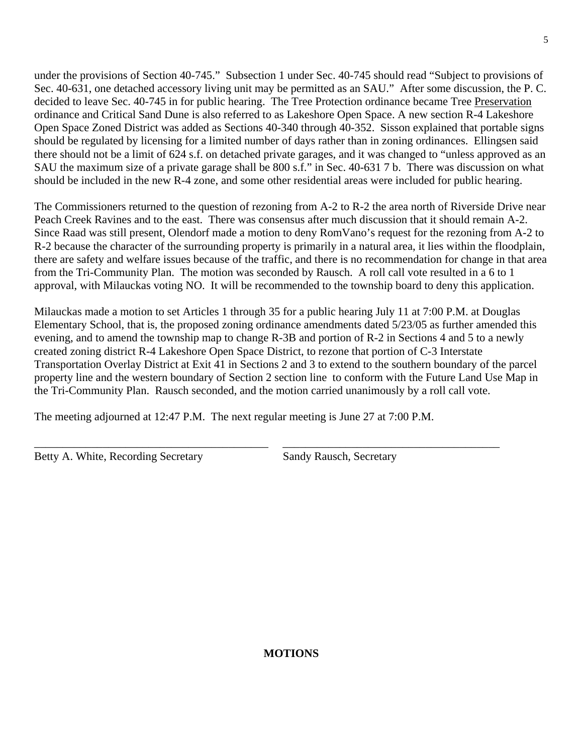under the provisions of Section 40-745." Subsection 1 under Sec. 40-745 should read "Subject to provisions of Sec. 40-631, one detached accessory living unit may be permitted as an SAU." After some discussion, the P. C. decided to leave Sec. 40-745 in for public hearing. The Tree Protection ordinance became Tree Preservation ordinance and Critical Sand Dune is also referred to as Lakeshore Open Space. A new section R-4 Lakeshore Open Space Zoned District was added as Sections 40-340 through 40-352. Sisson explained that portable signs should be regulated by licensing for a limited number of days rather than in zoning ordinances. Ellingsen said there should not be a limit of 624 s.f. on detached private garages, and it was changed to "unless approved as an SAU the maximum size of a private garage shall be 800 s.f." in Sec. 40-631 7 b. There was discussion on what should be included in the new R-4 zone, and some other residential areas were included for public hearing.

The Commissioners returned to the question of rezoning from A-2 to R-2 the area north of Riverside Drive near Peach Creek Ravines and to the east. There was consensus after much discussion that it should remain A-2. Since Raad was still present, Olendorf made a motion to deny RomVano's request for the rezoning from A-2 to R-2 because the character of the surrounding property is primarily in a natural area, it lies within the floodplain, there are safety and welfare issues because of the traffic, and there is no recommendation for change in that area from the Tri-Community Plan. The motion was seconded by Rausch. A roll call vote resulted in a 6 to 1 approval, with Milauckas voting NO. It will be recommended to the township board to deny this application.

Milauckas made a motion to set Articles 1 through 35 for a public hearing July 11 at 7:00 P.M. at Douglas Elementary School, that is, the proposed zoning ordinance amendments dated 5/23/05 as further amended this evening, and to amend the township map to change R-3B and portion of R-2 in Sections 4 and 5 to a newly created zoning district R-4 Lakeshore Open Space District, to rezone that portion of C-3 Interstate Transportation Overlay District at Exit 41 in Sections 2 and 3 to extend to the southern boundary of the parcel property line and the western boundary of Section 2 section line to conform with the Future Land Use Map in the Tri-Community Plan. Rausch seconded, and the motion carried unanimously by a roll call vote.

\_\_\_\_\_\_\_\_\_\_\_\_\_\_\_\_\_\_\_\_\_\_\_\_\_\_\_\_\_\_\_\_\_\_\_\_\_\_\_\_\_ \_\_\_\_\_\_\_\_\_\_\_\_\_\_\_\_\_\_\_\_\_\_\_\_\_\_\_\_\_\_\_\_\_\_\_\_\_\_

The meeting adjourned at 12:47 P.M. The next regular meeting is June 27 at 7:00 P.M.

Betty A. White, Recording Secretary Sandy Rausch, Secretary

## **MOTIONS**